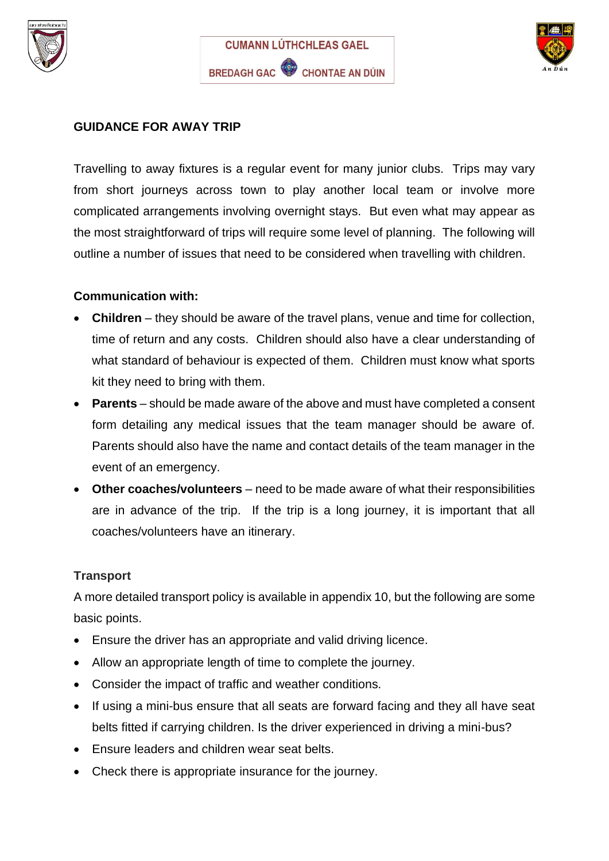





### **GUIDANCE FOR AWAY TRIP**

Travelling to away fixtures is a regular event for many junior clubs. Trips may vary from short journeys across town to play another local team or involve more complicated arrangements involving overnight stays. But even what may appear as the most straightforward of trips will require some level of planning. The following will outline a number of issues that need to be considered when travelling with children.

#### **Communication with:**

- **Children** they should be aware of the travel plans, venue and time for collection, time of return and any costs. Children should also have a clear understanding of what standard of behaviour is expected of them. Children must know what sports kit they need to bring with them.
- **Parents** should be made aware of the above and must have completed a consent form detailing any medical issues that the team manager should be aware of. Parents should also have the name and contact details of the team manager in the event of an emergency.
- **Other coaches/volunteers** need to be made aware of what their responsibilities are in advance of the trip. If the trip is a long journey, it is important that all coaches/volunteers have an itinerary.

#### **Transport**

A more detailed transport policy is available in appendix 10, but the following are some basic points.

- Ensure the driver has an appropriate and valid driving licence.
- Allow an appropriate length of time to complete the journey.
- Consider the impact of traffic and weather conditions.
- If using a mini-bus ensure that all seats are forward facing and they all have seat belts fitted if carrying children. Is the driver experienced in driving a mini-bus?
- Ensure leaders and children wear seat belts.
- Check there is appropriate insurance for the journey.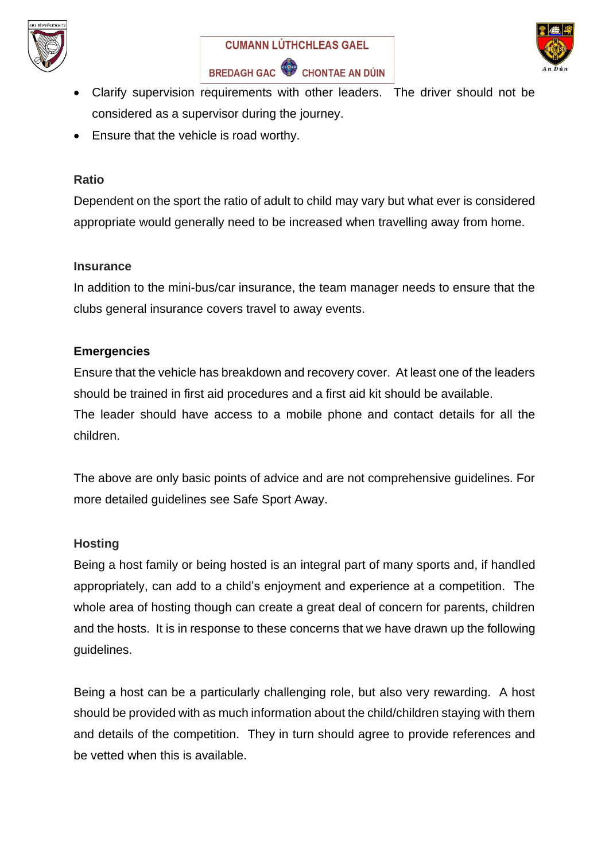





- Clarify supervision requirements with other leaders. The driver should not be considered as a supervisor during the journey.
- Ensure that the vehicle is road worthy.

#### **Ratio**

Dependent on the sport the ratio of adult to child may vary but what ever is considered appropriate would generally need to be increased when travelling away from home.

#### **Insurance**

In addition to the mini-bus/car insurance, the team manager needs to ensure that the clubs general insurance covers travel to away events.

#### **Emergencies**

Ensure that the vehicle has breakdown and recovery cover. At least one of the leaders should be trained in first aid procedures and a first aid kit should be available. The leader should have access to a mobile phone and contact details for all the children.

The above are only basic points of advice and are not comprehensive guidelines. For more detailed guidelines see Safe Sport Away.

#### **Hosting**

Being a host family or being hosted is an integral part of many sports and, if handled appropriately, can add to a child's enjoyment and experience at a competition. The whole area of hosting though can create a great deal of concern for parents, children and the hosts. It is in response to these concerns that we have drawn up the following guidelines.

Being a host can be a particularly challenging role, but also very rewarding. A host should be provided with as much information about the child/children staying with them and details of the competition. They in turn should agree to provide references and be vetted when this is available.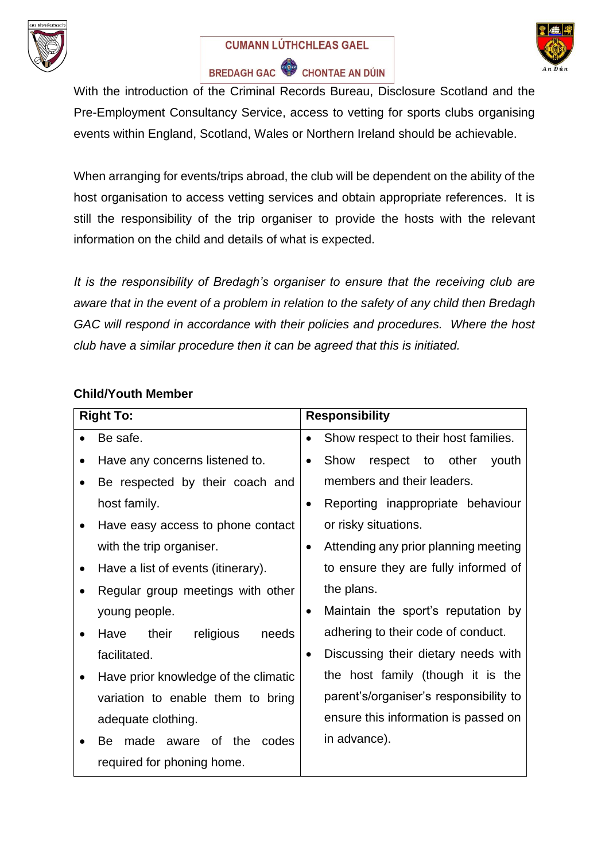





With the introduction of the Criminal Records Bureau, Disclosure Scotland and the Pre-Employment Consultancy Service, access to vetting for sports clubs organising events within England, Scotland, Wales or Northern Ireland should be achievable.

When arranging for events/trips abroad, the club will be dependent on the ability of the host organisation to access vetting services and obtain appropriate references. It is still the responsibility of the trip organiser to provide the hosts with the relevant information on the child and details of what is expected.

*It is the responsibility of Bredagh's organiser to ensure that the receiving club are aware that in the event of a problem in relation to the safety of any child then Bredagh GAC will respond in accordance with their policies and procedures. Where the host club have a similar procedure then it can be agreed that this is initiated.*

### **Child/Youth Member**

|           | <b>Right To:</b>                     |           | <b>Responsibility</b>                  |  |
|-----------|--------------------------------------|-----------|----------------------------------------|--|
|           | Be safe.                             |           | Show respect to their host families.   |  |
|           | Have any concerns listened to.       | $\bullet$ | Show<br>respect to other<br>youth      |  |
|           | Be respected by their coach and      |           | members and their leaders.             |  |
|           | host family.                         | $\bullet$ | Reporting inappropriate behaviour      |  |
| $\bullet$ | Have easy access to phone contact    |           | or risky situations.                   |  |
|           | with the trip organiser.             | $\bullet$ | Attending any prior planning meeting   |  |
|           | Have a list of events (itinerary).   |           | to ensure they are fully informed of   |  |
|           | Regular group meetings with other    |           | the plans.                             |  |
|           | young people.                        | $\bullet$ | Maintain the sport's reputation by     |  |
|           | their<br>religious<br>needs<br>Have  |           | adhering to their code of conduct.     |  |
|           | facilitated.                         | $\bullet$ | Discussing their dietary needs with    |  |
|           | Have prior knowledge of the climatic |           | the host family (though it is the      |  |
|           | variation to enable them to bring    |           | parent's/organiser's responsibility to |  |
|           | adequate clothing.                   |           | ensure this information is passed on   |  |
|           | made aware of the codes<br>Be.       |           | in advance).                           |  |
|           | required for phoning home.           |           |                                        |  |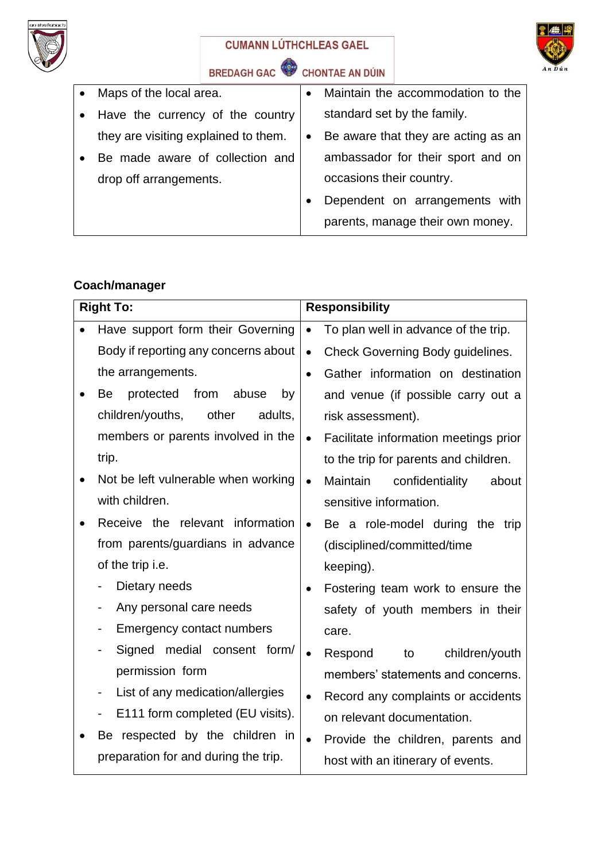



# BREDAGH GAC CHONTAE AN DÚIN

| Maps of the local area.              | $\bullet$ | Maintain the accommodation to the   |
|--------------------------------------|-----------|-------------------------------------|
| Have the currency of the country     |           | standard set by the family.         |
| they are visiting explained to them. | $\bullet$ | Be aware that they are acting as an |
| Be made aware of collection and      |           | ambassador for their sport and on   |
| drop off arrangements.               |           | occasions their country.            |
|                                      |           | Dependent on arrangements with      |
|                                      |           | parents, manage their own money.    |
|                                      |           |                                     |

# **Coach/manager**

| <b>Right To:</b>                                             |           | <b>Responsibility</b>                   |
|--------------------------------------------------------------|-----------|-----------------------------------------|
| Have support form their Governing                            | $\bullet$ | To plan well in advance of the trip.    |
| Body if reporting any concerns about                         | $\bullet$ | <b>Check Governing Body guidelines.</b> |
| the arrangements.                                            | $\bullet$ | Gather information on destination       |
| from<br>protected<br>abuse<br>Be<br>by                       |           | and venue (if possible carry out a      |
| children/youths,<br>other<br>adults,                         |           | risk assessment).                       |
| members or parents involved in the                           | $\bullet$ | Facilitate information meetings prior   |
| trip.                                                        |           | to the trip for parents and children.   |
| Not be left vulnerable when working                          | $\bullet$ | Maintain<br>confidentiality<br>about    |
| with children.                                               |           | sensitive information.                  |
| Receive the relevant information                             | $\bullet$ | Be a role-model during the trip         |
| from parents/guardians in advance                            |           | (disciplined/committed/time             |
| of the trip i.e.                                             |           | keeping).                               |
| Dietary needs                                                | $\bullet$ | Fostering team work to ensure the       |
| Any personal care needs                                      |           | safety of youth members in their        |
| Emergency contact numbers                                    |           | care.                                   |
| medial consent form/<br>Signed                               | $\bullet$ | Respond<br>children/youth<br>to         |
| permission form                                              |           | members' statements and concerns.       |
| List of any medication/allergies<br>$\overline{\phantom{0}}$ |           | Record any complaints or accidents      |
| E111 form completed (EU visits).                             |           | on relevant documentation.              |
| Be respected by the children in                              | $\bullet$ | Provide the children, parents and       |
| preparation for and during the trip.                         |           | host with an itinerary of events.       |
|                                                              |           |                                         |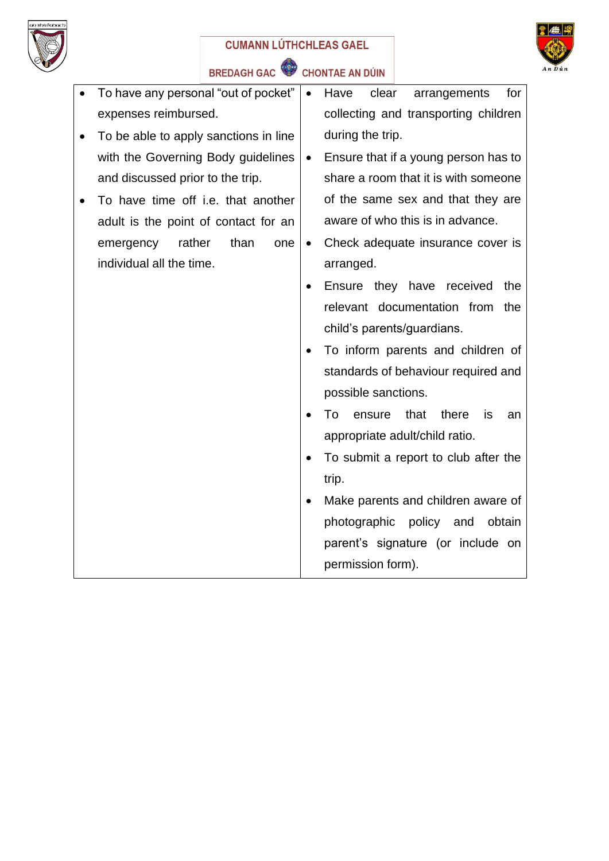



BREDAGH GAC<sup>C</sup> CHONTAE AN DÚIN

| To have any personal "out of pocket"      | $\bullet$ | Have<br>clear<br>arrangements<br>for      |
|-------------------------------------------|-----------|-------------------------------------------|
| expenses reimbursed.                      |           | collecting and transporting children      |
| To be able to apply sanctions in line     |           | during the trip.                          |
| with the Governing Body guidelines        | $\bullet$ | Ensure that if a young person has to      |
| and discussed prior to the trip.          |           | share a room that it is with someone      |
| To have time off <i>i.e.</i> that another |           | of the same sex and that they are         |
| adult is the point of contact for an      |           | aware of who this is in advance.          |
| rather<br>than<br>emergency<br>one        | $\bullet$ | Check adequate insurance cover is         |
| individual all the time.                  |           | arranged.                                 |
|                                           |           | Ensure they have received<br>the          |
|                                           |           | relevant documentation from<br>the        |
|                                           |           | child's parents/guardians.                |
|                                           | $\bullet$ | To inform parents and children of         |
|                                           |           | standards of behaviour required and       |
|                                           |           | possible sanctions.                       |
|                                           |           | To<br>that<br>there<br>ensure<br>is<br>an |
|                                           |           | appropriate adult/child ratio.            |
|                                           | $\bullet$ | To submit a report to club after the      |
|                                           |           | trip.                                     |
|                                           | $\bullet$ | Make parents and children aware of        |
|                                           |           | photographic<br>policy and<br>obtain      |
|                                           |           | parent's signature (or include on         |
|                                           |           | permission form).                         |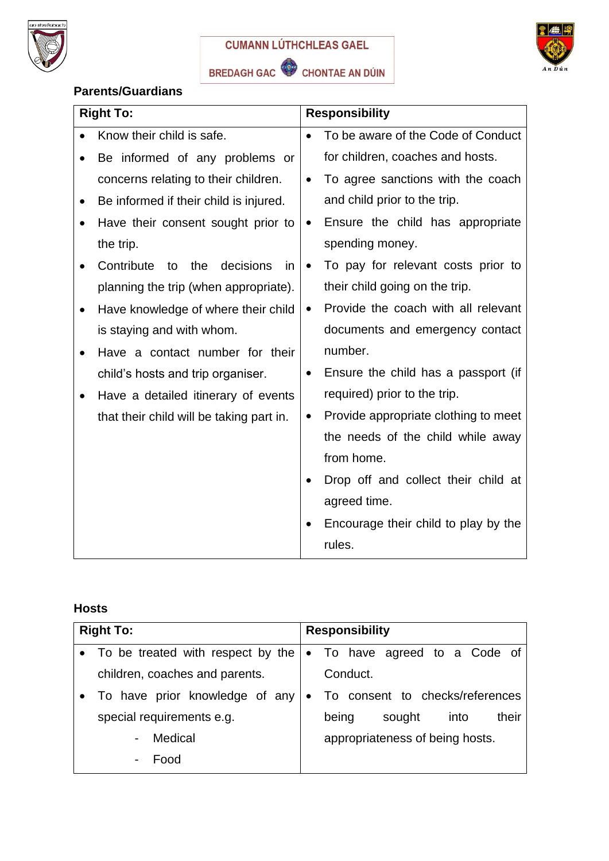



# **Parents/Guardians**

| <b>Right To:</b>                           | <b>Responsibility</b> |                                      |
|--------------------------------------------|-----------------------|--------------------------------------|
| Know their child is safe.                  | $\bullet$             | To be aware of the Code of Conduct   |
| Be informed of any problems or             |                       | for children, coaches and hosts.     |
| concerns relating to their children.       | $\bullet$             | To agree sanctions with the coach    |
| Be informed if their child is injured.     |                       | and child prior to the trip.         |
| Have their consent sought prior to         | $\bullet$             | Ensure the child has appropriate     |
| the trip.                                  |                       | spending money.                      |
| Contribute<br>decisions<br>the<br>to<br>in | $\bullet$             | To pay for relevant costs prior to   |
| planning the trip (when appropriate).      |                       | their child going on the trip.       |
| Have knowledge of where their child        | $\bullet$             | Provide the coach with all relevant  |
| is staying and with whom.                  |                       | documents and emergency contact      |
| Have a contact number for their            |                       | number.                              |
| child's hosts and trip organiser.          | $\bullet$             | Ensure the child has a passport (if  |
| Have a detailed itinerary of events        |                       | required) prior to the trip.         |
| that their child will be taking part in.   | $\bullet$             | Provide appropriate clothing to meet |
|                                            |                       | the needs of the child while away    |
|                                            |                       | from home.                           |
|                                            |                       | Drop off and collect their child at  |
|                                            |                       | agreed time.                         |
|                                            |                       | Encourage their child to play by the |
|                                            |                       | rules.                               |

# **Hosts**

| <b>Right To:</b>                    |           | <b>Responsibility</b>            |  |  |
|-------------------------------------|-----------|----------------------------------|--|--|
| • To be treated with respect by the |           | • To have agreed to a Code of    |  |  |
| children, coaches and parents.      |           | Conduct.                         |  |  |
| To have prior knowledge of any      | $\bullet$ | To consent to checks/references  |  |  |
| special requirements e.g.           |           | their<br>sought<br>into<br>being |  |  |
| Medical                             |           | appropriateness of being hosts.  |  |  |
| Food                                |           |                                  |  |  |
|                                     |           |                                  |  |  |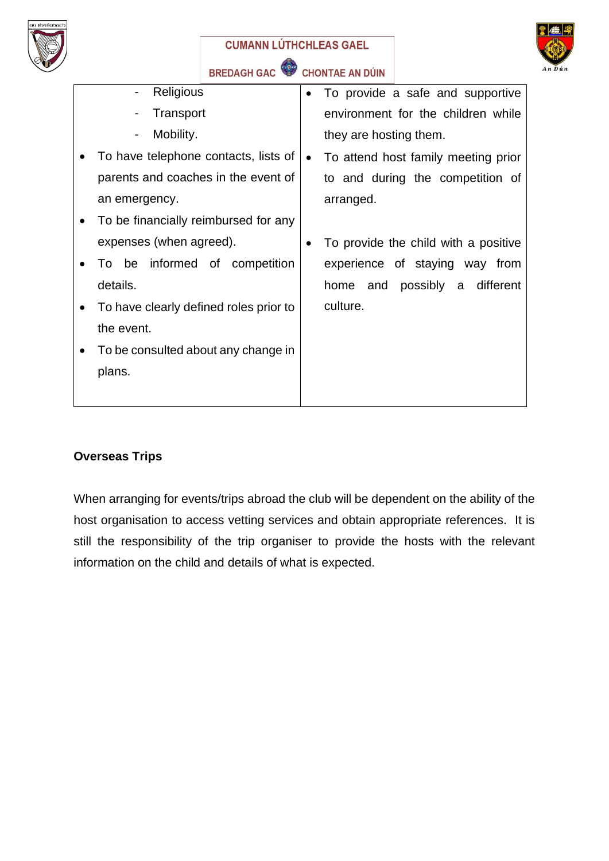



| Religious                              | $\bullet$ | To provide a safe and supportive     |
|----------------------------------------|-----------|--------------------------------------|
| Transport                              |           | environment for the children while   |
| Mobility.<br>$\blacksquare$            |           | they are hosting them.               |
| To have telephone contacts, lists of   | $\bullet$ | To attend host family meeting prior  |
| parents and coaches in the event of    |           | to and during the competition of     |
| an emergency.                          |           | arranged.                            |
| To be financially reimbursed for any   |           |                                      |
| expenses (when agreed).                |           | To provide the child with a positive |
| To be informed of competition          |           | experience of staying way from       |
| details.                               |           | home and possibly a different        |
| To have clearly defined roles prior to |           | culture.                             |
| the event.                             |           |                                      |
| To be consulted about any change in    |           |                                      |
| plans.                                 |           |                                      |
|                                        |           |                                      |

# **Overseas Trips**

When arranging for events/trips abroad the club will be dependent on the ability of the host organisation to access vetting services and obtain appropriate references. It is still the responsibility of the trip organiser to provide the hosts with the relevant information on the child and details of what is expected.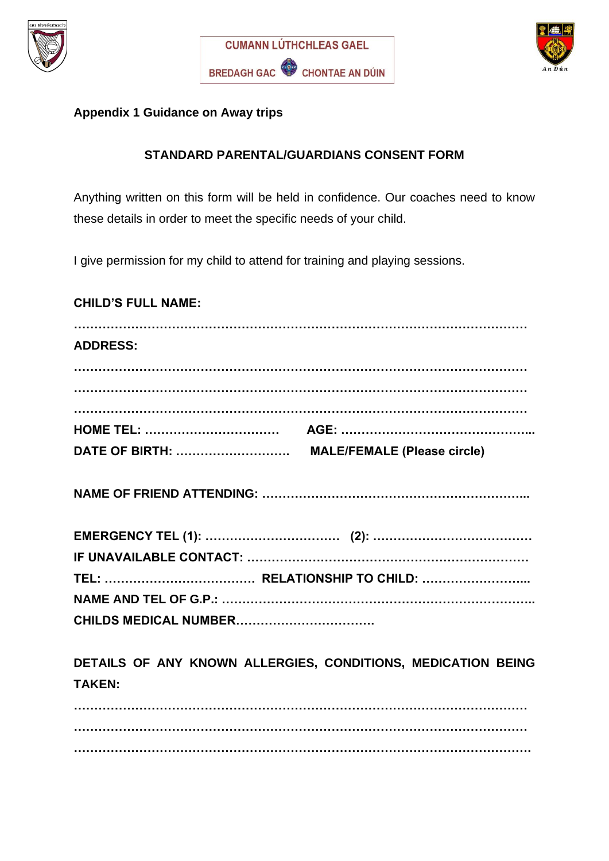





### **Appendix 1 Guidance on Away trips**

### **STANDARD PARENTAL/GUARDIANS CONSENT FORM**

Anything written on this form will be held in confidence. Our coaches need to know these details in order to meet the specific needs of your child.

I give permission for my child to attend for training and playing sessions.

### **CHILD'S FULL NAME:**

| <b>ADDRESS:</b> |                                                              |
|-----------------|--------------------------------------------------------------|
|                 |                                                              |
|                 |                                                              |
|                 |                                                              |
|                 |                                                              |
|                 |                                                              |
|                 |                                                              |
|                 |                                                              |
|                 |                                                              |
|                 |                                                              |
|                 |                                                              |
|                 |                                                              |
| <b>TAKEN:</b>   | DETAILS OF ANY KNOWN ALLERGIES, CONDITIONS, MEDICATION BEING |
|                 |                                                              |

**………………………………………………………………………………………………… ………………………………………………………………………………………………….**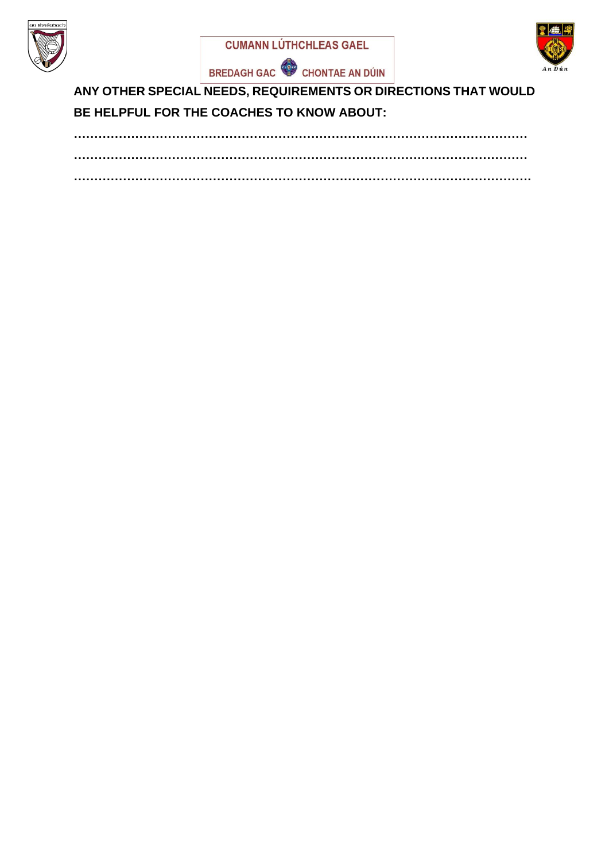







**ANY OTHER SPECIAL NEEDS, REQUIREMENTS OR DIRECTIONS THAT WOULD BE HELPFUL FOR THE COACHES TO KNOW ABOUT:**

**………………………………………………………………………………………………… ………………………………………………………………………………………………… ………………………………………………………………………………………………….**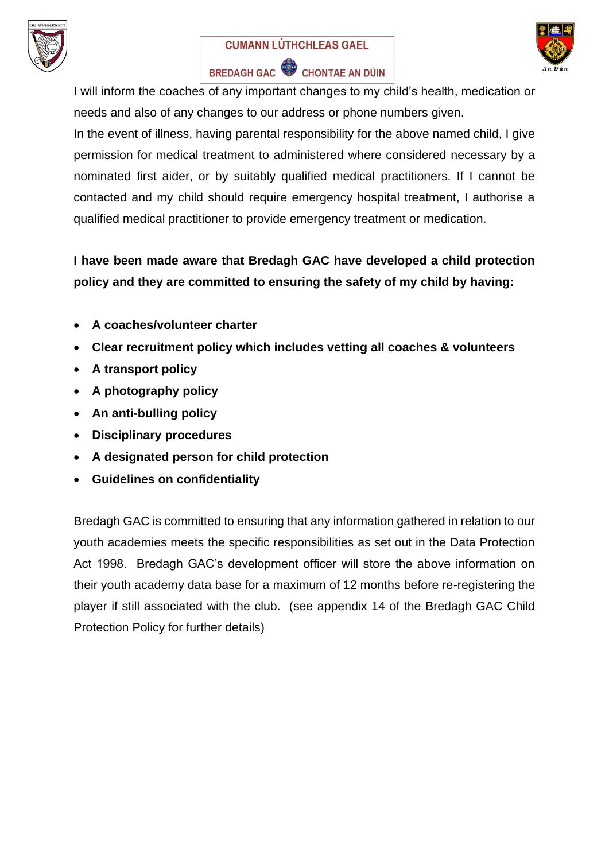



# BREDAGH GAC CHONTAE AN DÚIN

I will inform the coaches of any important changes to my child's health, medication or needs and also of any changes to our address or phone numbers given.

In the event of illness, having parental responsibility for the above named child, I give permission for medical treatment to administered where considered necessary by a nominated first aider, or by suitably qualified medical practitioners. If I cannot be contacted and my child should require emergency hospital treatment, I authorise a qualified medical practitioner to provide emergency treatment or medication.

# **I have been made aware that Bredagh GAC have developed a child protection policy and they are committed to ensuring the safety of my child by having:**

- **A coaches/volunteer charter**
- **Clear recruitment policy which includes vetting all coaches & volunteers**
- **A transport policy**
- **A photography policy**
- **An anti-bulling policy**
- **Disciplinary procedures**
- **A designated person for child protection**
- **Guidelines on confidentiality**

Bredagh GAC is committed to ensuring that any information gathered in relation to our youth academies meets the specific responsibilities as set out in the Data Protection Act 1998. Bredagh GAC's development officer will store the above information on their youth academy data base for a maximum of 12 months before re-registering the player if still associated with the club. (see appendix 14 of the Bredagh GAC Child Protection Policy for further details)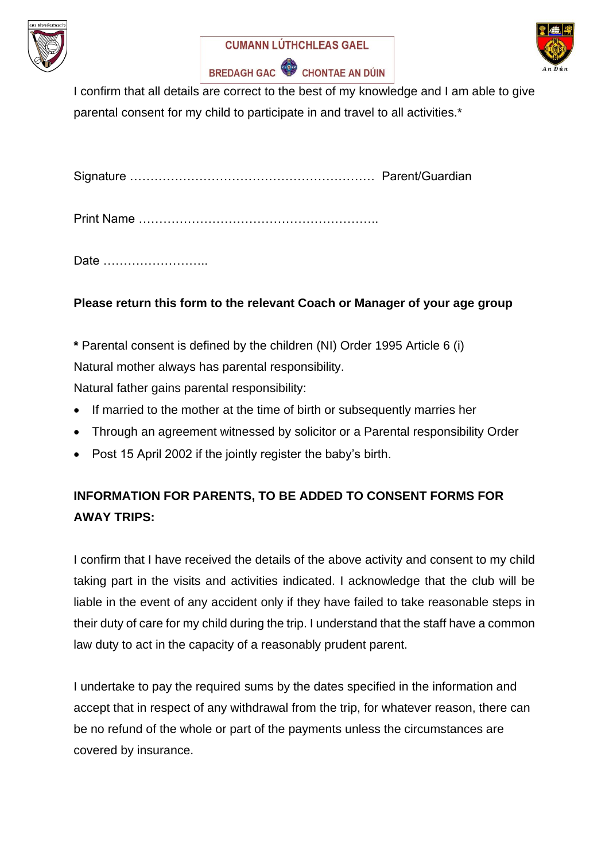





I confirm that all details are correct to the best of my knowledge and I am able to give parental consent for my child to participate in and travel to all activities.\*

Signature …………………………………………………… Parent/Guardian

Print Name …………………………………………………..

Date ……………………..

# **Please return this form to the relevant Coach or Manager of your age group**

**\*** Parental consent is defined by the children (NI) Order 1995 Article 6 (i)

Natural mother always has parental responsibility.

Natural father gains parental responsibility:

- If married to the mother at the time of birth or subsequently marries her
- Through an agreement witnessed by solicitor or a Parental responsibility Order
- Post 15 April 2002 if the jointly register the baby's birth.

# **INFORMATION FOR PARENTS, TO BE ADDED TO CONSENT FORMS FOR AWAY TRIPS:**

I confirm that I have received the details of the above activity and consent to my child taking part in the visits and activities indicated. I acknowledge that the club will be liable in the event of any accident only if they have failed to take reasonable steps in their duty of care for my child during the trip. I understand that the staff have a common law duty to act in the capacity of a reasonably prudent parent.

I undertake to pay the required sums by the dates specified in the information and accept that in respect of any withdrawal from the trip, for whatever reason, there can be no refund of the whole or part of the payments unless the circumstances are covered by insurance.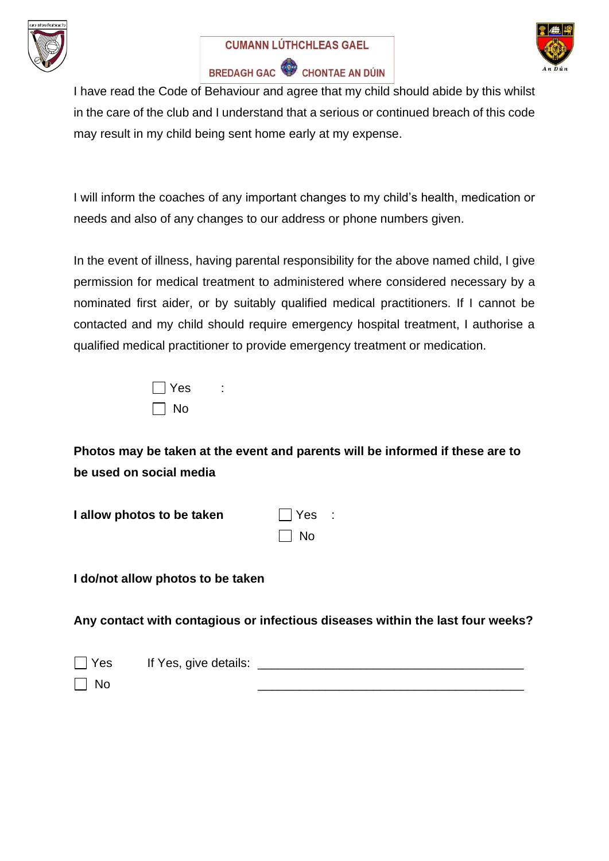





I have read the Code of Behaviour and agree that my child should abide by this whilst in the care of the club and I understand that a serious or continued breach of this code may result in my child being sent home early at my expense.

I will inform the coaches of any important changes to my child's health, medication or needs and also of any changes to our address or phone numbers given.

In the event of illness, having parental responsibility for the above named child, I give permission for medical treatment to administered where considered necessary by a nominated first aider, or by suitably qualified medical practitioners. If I cannot be contacted and my child should require emergency hospital treatment, I authorise a qualified medical practitioner to provide emergency treatment or medication.

| $\Box$ Yes |  |
|------------|--|
| $\Box$ No  |  |

**Photos may be taken at the event and parents will be informed if these are to be used on social media**

| I allow photos to be taken | $\Box$ Yes : |  |
|----------------------------|--------------|--|
|                            | $\Box$ No    |  |

**I do/not allow photos to be taken**

**Any contact with contagious or infectious diseases within the last four weeks?**

| $\Box$ Yes | If Yes, give details: |  |
|------------|-----------------------|--|
| $\Box$ No  |                       |  |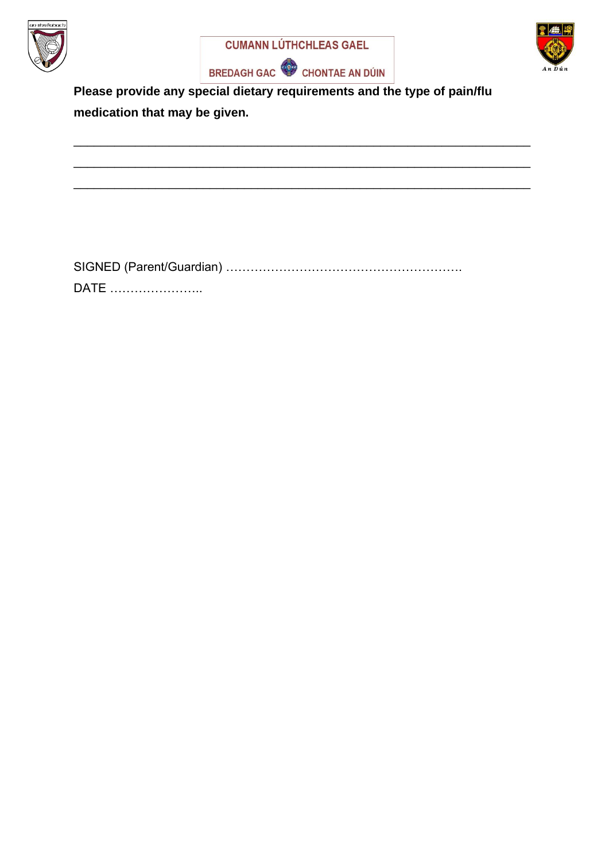



\_\_\_\_\_\_\_\_\_\_\_\_\_\_\_\_\_\_\_\_\_\_\_\_\_\_\_\_\_\_\_\_\_\_\_\_\_\_\_\_\_\_\_\_\_\_\_\_\_\_\_\_\_\_\_\_\_\_\_\_\_\_\_\_\_\_\_

\_\_\_\_\_\_\_\_\_\_\_\_\_\_\_\_\_\_\_\_\_\_\_\_\_\_\_\_\_\_\_\_\_\_\_\_\_\_\_\_\_\_\_\_\_\_\_\_\_\_\_\_\_\_\_\_\_\_\_\_\_\_\_\_\_\_\_

\_\_\_\_\_\_\_\_\_\_\_\_\_\_\_\_\_\_\_\_\_\_\_\_\_\_\_\_\_\_\_\_\_\_\_\_\_\_\_\_\_\_\_\_\_\_\_\_\_\_\_\_\_\_\_\_\_\_\_\_\_\_\_\_\_\_\_





**Please provide any special dietary requirements and the type of pain/flu medication that may be given.**

SIGNED (Parent/Guardian) …………………………………………………. DATE …………………..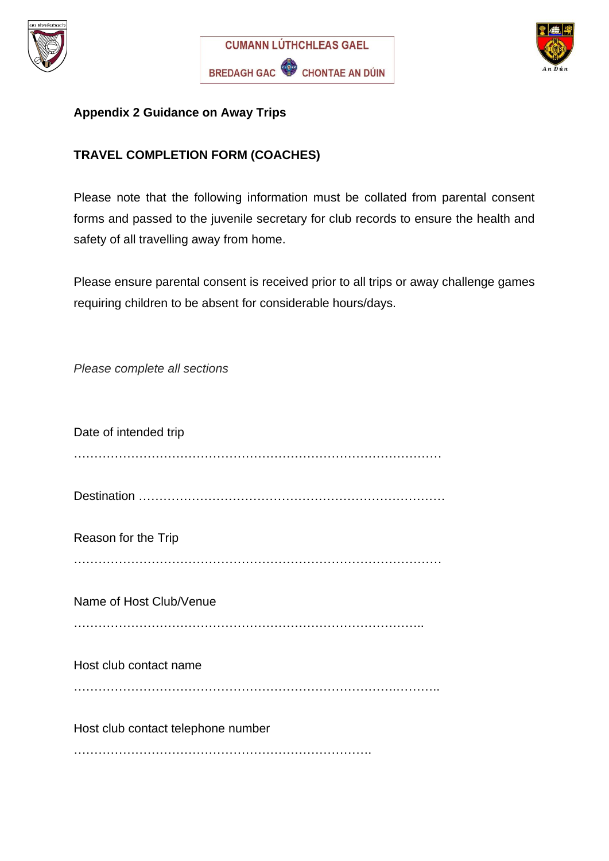





### **Appendix 2 Guidance on Away Trips**

# **TRAVEL COMPLETION FORM (COACHES)**

Please note that the following information must be collated from parental consent forms and passed to the juvenile secretary for club records to ensure the health and safety of all travelling away from home.

Please ensure parental consent is received prior to all trips or away challenge games requiring children to be absent for considerable hours/days.

*Please complete all sections*

| Date of intended trip              |
|------------------------------------|
|                                    |
| Reason for the Trip                |
| Name of Host Club/Venue            |
| Host club contact name             |
| Host club contact telephone number |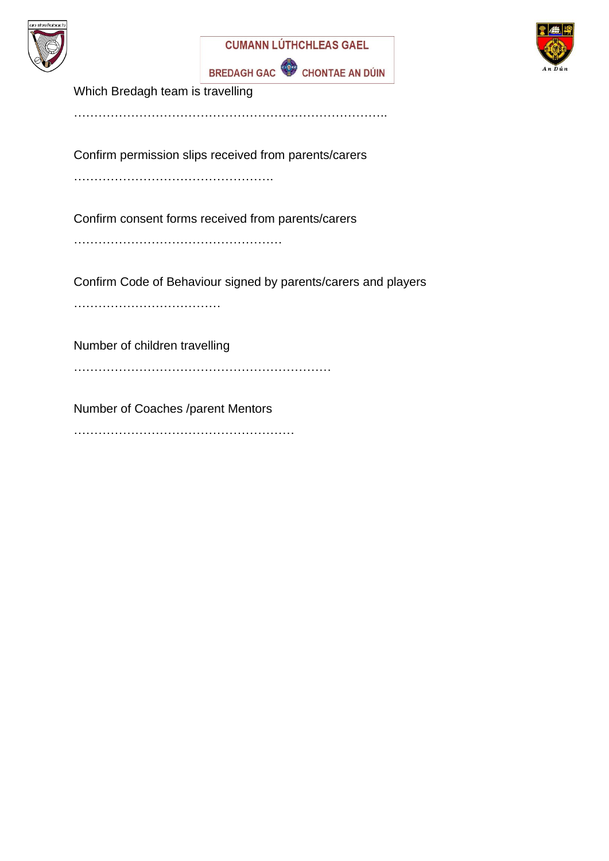





Which Bredagh team is travelling

…………………………………………………………………..

Confirm permission slips received from parents/carers

………………………………………….

Confirm consent forms received from parents/carers

……………………………………………

Confirm Code of Behaviour signed by parents/carers and players

………………………………

Number of children travelling

………………………………………………………

Number of Coaches /parent Mentors

………………………………………………